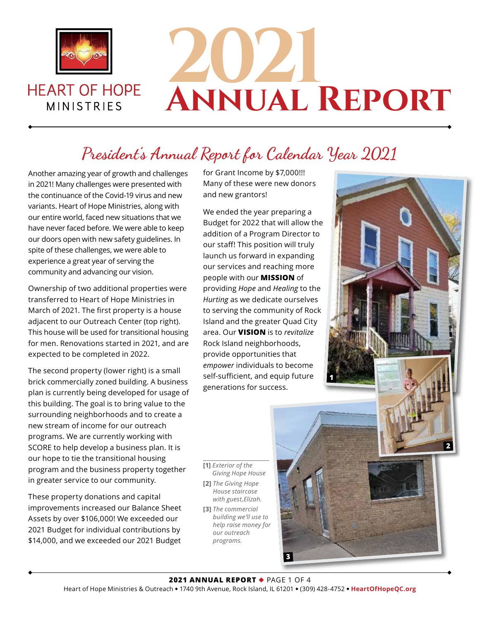

**HEART OF HOPE** 

**MINISTRIES** 

# **2021 Annual Report**

## **President's Annual Report for Calendar Year 2021**

Another amazing year of growth and challenges in 2021! Many challenges were presented with the continuance of the Covid-19 virus and new variants. Heart of Hope Ministries, along with our entire world, faced new situations that we have never faced before. We were able to keep our doors open with new safety guidelines. In spite of these challenges, we were able to experience a great year of serving the community and advancing our vision.

Ownership of two additional properties were transferred to Heart of Hope Ministries in March of 2021. The first property is a house adjacent to our Outreach Center (top right). This house will be used for transitional housing for men. Renovations started in 2021, and are expected to be completed in 2022.

The second property (lower right) is a small brick commercially zoned building. A business plan is currently being developed for usage of this building. The goal is to bring value to the surrounding neighborhoods and to create a new stream of income for our outreach programs. We are currently working with SCORE to help develop a business plan. It is our hope to tie the transitional housing program and the business property together in greater service to our community.

These property donations and capital improvements increased our Balance Sheet Assets by over \$106,000! We exceeded our 2021 Budget for individual contributions by \$14,000, and we exceeded our 2021 Budget

for Grant Income by \$7,000!!! Many of these were new donors and new grantors!

We ended the year preparing a Budget for 2022 that will allow the addition of a Program Director to our staff! This position will truly launch us forward in expanding our services and reaching more people with our **MISSION** of providing *Hope* and *Healing* to the *Hurting* as we dedicate ourselves to serving the community of Rock Island and the greater Quad City area. Our **VISION** is to *revitalize* Rock Island neighborhoods, provide opportunities that *empower* individuals to become self-sufficient, and equip future generations for success.



**[1]** *Exterior of the Giving Hope House* **[2]** *The Giving Hope House staircase* 

*with guest,Elizah.* **[3]** *The commercial building we'll use to help raise money for our outreach* 

*programs.*

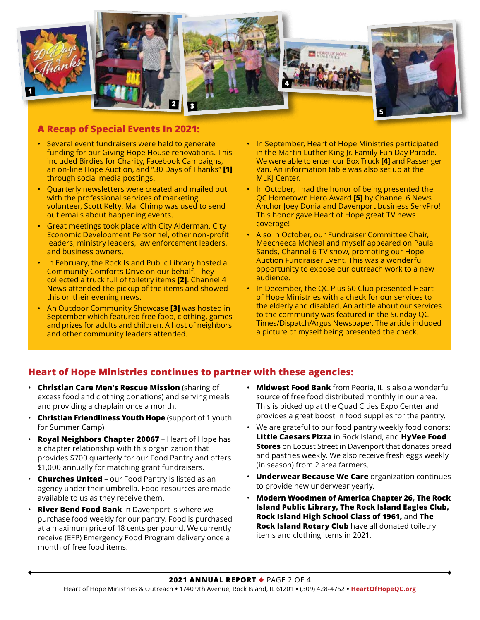

#### **A Recap of Special Events In 2021:**

- Several event fundraisers were held to generate funding for our Giving Hope House renovations. This included Birdies for Charity, Facebook Campaigns, an on-line Hope Auction, and "30 Days of Thanks" **[1]** through social media postings.
- Quarterly newsletters were created and mailed out with the professional services of marketing volunteer, Scott Kelty. MailChimp was used to send out emails about happening events.
- Great meetings took place with City Alderman, City Economic Development Personnel, other non-profit leaders, ministry leaders, law enforcement leaders, and business owners.
- In February, the Rock Island Public Library hosted a Community Comforts Drive on our behalf. They collected a truck full of toiletry items **[2]**. Channel 4 News attended the pickup of the items and showed this on their evening news.
- An Outdoor Community Showcase **[3]** was hosted in September which featured free food, clothing, games and prizes for adults and children. A host of neighbors and other community leaders attended.
- In September, Heart of Hope Ministries participated in the Martin Luther King Jr. Family Fun Day Parade. We were able to enter our Box Truck **[4]** and Passenger Van. An information table was also set up at the **MLKJ Center.**
- In October, I had the honor of being presented the QC Hometown Hero Award **[5]** by Channel 6 News Anchor Joey Donia and Davenport business ServPro! This honor gave Heart of Hope great TV news coverage!
- Also in October, our Fundraiser Committee Chair, Meecheeca McNeal and myself appeared on Paula Sands, Channel 6 TV show, promoting our Hope Auction Fundraiser Event. This was a wonderful opportunity to expose our outreach work to a new audience.
- In December, the QC Plus 60 Club presented Heart of Hope Ministries with a check for our services to the elderly and disabled. An article about our services to the community was featured in the Sunday QC Times/Dispatch/Argus Newspaper. The article included a picture of myself being presented the check.

### **Heart of Hope Ministries continues to partner with these agencies:**

- **Christian Care Men's Rescue Mission** (sharing of excess food and clothing donations) and serving meals and providing a chaplain once a month.
- **Christian Friendliness Youth Hope** (support of 1 youth for Summer Camp)
- **Royal Neighbors Chapter 20067** Heart of Hope has a chapter relationship with this organization that provides \$700 quarterly for our Food Pantry and offers \$1,000 annually for matching grant fundraisers.
- **Churches United** our Food Pantry is listed as an agency under their umbrella. Food resources are made available to us as they receive them.
- **River Bend Food Bank** in Davenport is where we purchase food weekly for our pantry. Food is purchased at a maximum price of 18 cents per pound. We currently receive (EFP) Emergency Food Program delivery once a month of free food items.
- **Midwest Food Bank** from Peoria, IL is also a wonderful source of free food distributed monthly in our area. This is picked up at the Quad Cities Expo Center and provides a great boost in food supplies for the pantry.
- We are grateful to our food pantry weekly food donors: **Little Caesars Pizza** in Rock Island, and **HyVee Food Stores** on Locust Street in Davenport that donates bread and pastries weekly. We also receive fresh eggs weekly (in season) from 2 area farmers.
- **Underwear Because We Care** organization continues to provide new underwear yearly.
- **Modern Woodmen of America Chapter 26, The Rock Island Public Library, The Rock Island Eagles Club, Rock Island High School Class of 1961,** and **The Rock Island Rotary Club** have all donated toiletry items and clothing items in 2021.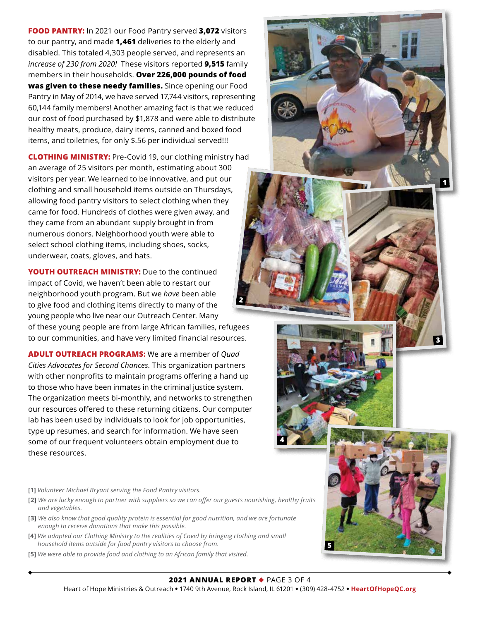**FOOD PANTRY:** In 2021 our Food Pantry served **3,072** visitors to our pantry, and made **1,461** deliveries to the elderly and disabled. This totaled 4,303 people served, and represents an *increase of 230 from 2020!* These visitors reported **9,515** family members in their households. **Over 226,000 pounds of food was given to these needy families.** Since opening our Food Pantry in May of 2014, we have served 17,744 visitors, representing 60,144 family members! Another amazing fact is that we reduced our cost of food purchased by \$1,878 and were able to distribute healthy meats, produce, dairy items, canned and boxed food items, and toiletries, for only \$.56 per individual served!!!

**CLOTHING MINISTRY:** Pre-Covid 19, our clothing ministry had an average of 25 visitors per month, estimating about 300 visitors per year. We learned to be innovative, and put our clothing and small household items outside on Thursdays, allowing food pantry visitors to select clothing when they came for food. Hundreds of clothes were given away, and they came from an abundant supply brought in from numerous donors. Neighborhood youth were able to select school clothing items, including shoes, socks, underwear, coats, gloves, and hats.

**YOUTH OUTREACH MINISTRY:** Due to the continued impact of Covid, we haven't been able to restart our neighborhood youth program. But we *have* been able to give food and clothing items directly to many of the young people who live near our Outreach Center. Many of these young people are from large African families, refugees to our communities, and have very limited financial resources. **2**

**ADULT OUTREACH PROGRAMS:** We are a member of *Quad Cities Advocates for Second Chances.* This organization partners with other nonprofits to maintain programs offering a hand up to those who have been inmates in the criminal justice system. The organization meets bi-monthly, and networks to strengthen our resources offered to these returning citizens. Our computer lab has been used by individuals to look for job opportunities, type up resumes, and search for information. We have seen some of our frequent volunteers obtain employment due to these resources.

- **[1]** *Volunteer Michael Bryant serving the Food Pantry visitors.*
- **[2]** *We are lucky enough to partner with suppliers so we can offer our guests nourishing, healthy fruits and vegetables.*
- **[3]** *We also know that good quality protein is essential for good nutrition, and we are fortunate enough to receive donations that make this possible.*
- **[4]** *We adapted our Clothing Ministry to the realities of Covid by bringing clothing and small household items outside for food pantry visitors to choose from.*
- **[5]** *We were able to provide food and clothing to an African family that visited.*

**4**

**5**

**1**

**3**